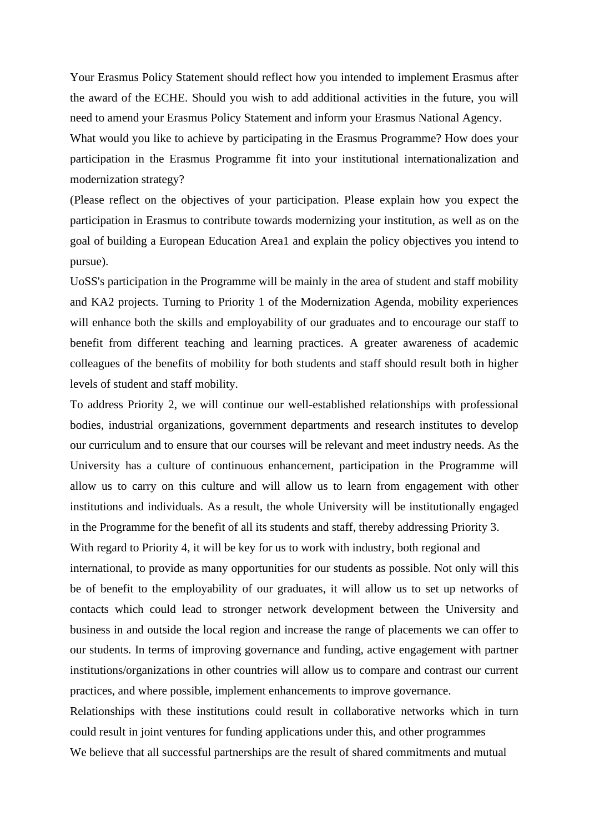Your Erasmus Policy Statement should reflect how you intended to implement Erasmus after the award of the ECHE. Should you wish to add additional activities in the future, you will need to amend your Erasmus Policy Statement and inform your Erasmus National Agency. What would you like to achieve by participating in the Erasmus Programme? How does your participation in the Erasmus Programme fit into your institutional internationalization and

modernization strategy?

(Please reflect on the objectives of your participation. Please explain how you expect the participation in Erasmus to contribute towards modernizing your institution, as well as on the goal of building a European Education Area1 and explain the policy objectives you intend to pursue).

UoSS's participation in the Programme will be mainly in the area of student and staff mobility and KA2 projects. Turning to Priority 1 of the Modernization Agenda, mobility experiences will enhance both the skills and employability of our graduates and to encourage our staff to benefit from different teaching and learning practices. A greater awareness of academic colleagues of the benefits of mobility for both students and staff should result both in higher levels of student and staff mobility.

To address Priority 2, we will continue our well-established relationships with professional bodies, industrial organizations, government departments and research institutes to develop our curriculum and to ensure that our courses will be relevant and meet industry needs. As the University has a culture of continuous enhancement, participation in the Programme will allow us to carry on this culture and will allow us to learn from engagement with other institutions and individuals. As a result, the whole University will be institutionally engaged in the Programme for the benefit of all its students and staff, thereby addressing Priority 3.

With regard to Priority 4, it will be key for us to work with industry, both regional and international, to provide as many opportunities for our students as possible. Not only will this be of benefit to the employability of our graduates, it will allow us to set up networks of contacts which could lead to stronger network development between the University and business in and outside the local region and increase the range of placements we can offer to our students. In terms of improving governance and funding, active engagement with partner institutions/organizations in other countries will allow us to compare and contrast our current practices, and where possible, implement enhancements to improve governance.

Relationships with these institutions could result in collaborative networks which in turn could result in joint ventures for funding applications under this, and other programmes We believe that all successful partnerships are the result of shared commitments and mutual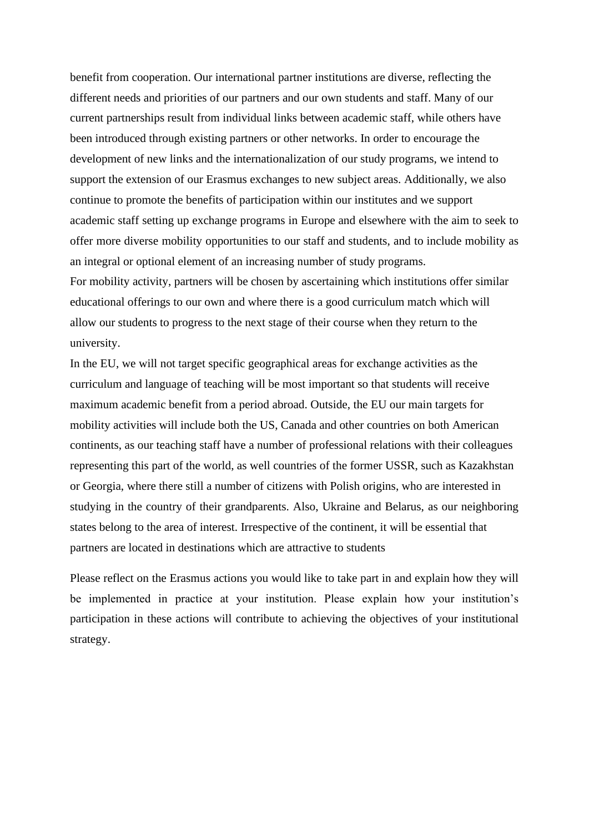benefit from cooperation. Our international partner institutions are diverse, reflecting the different needs and priorities of our partners and our own students and staff. Many of our current partnerships result from individual links between academic staff, while others have been introduced through existing partners or other networks. In order to encourage the development of new links and the internationalization of our study programs, we intend to support the extension of our Erasmus exchanges to new subject areas. Additionally, we also continue to promote the benefits of participation within our institutes and we support academic staff setting up exchange programs in Europe and elsewhere with the aim to seek to offer more diverse mobility opportunities to our staff and students, and to include mobility as an integral or optional element of an increasing number of study programs. For mobility activity, partners will be chosen by ascertaining which institutions offer similar educational offerings to our own and where there is a good curriculum match which will allow our students to progress to the next stage of their course when they return to the university.

In the EU, we will not target specific geographical areas for exchange activities as the curriculum and language of teaching will be most important so that students will receive maximum academic benefit from a period abroad. Outside, the EU our main targets for mobility activities will include both the US, Canada and other countries on both American continents, as our teaching staff have a number of professional relations with their colleagues representing this part of the world, as well countries of the former USSR, such as Kazakhstan or Georgia, where there still a number of citizens with Polish origins, who are interested in studying in the country of their grandparents. Also, Ukraine and Belarus, as our neighboring states belong to the area of interest. Irrespective of the continent, it will be essential that partners are located in destinations which are attractive to students

Please reflect on the Erasmus actions you would like to take part in and explain how they will be implemented in practice at your institution. Please explain how your institution's participation in these actions will contribute to achieving the objectives of your institutional strategy.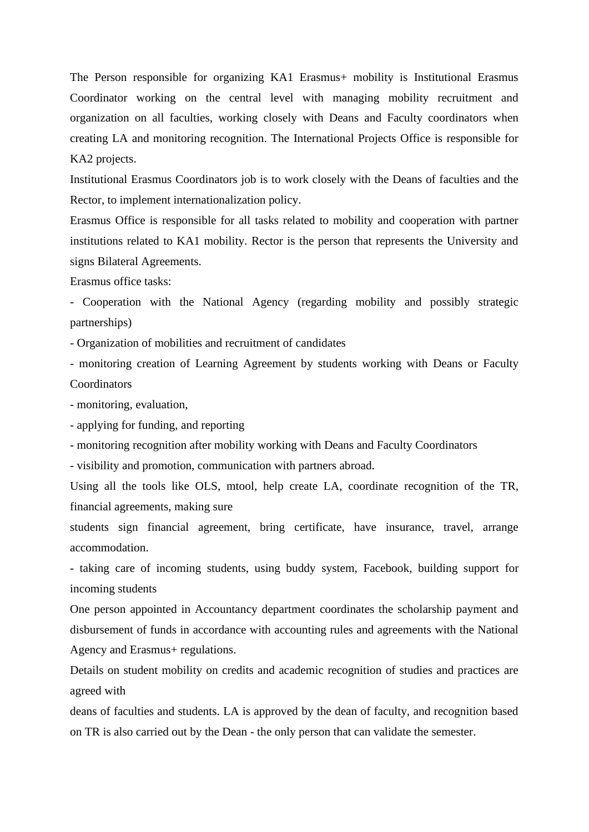The Person responsible for organizing KA1 Erasmus+ mobility is Institutional Erasmus Coordinator working on the central level with managing mobility recruitment and organization on all faculties, working closely with Deans and Faculty coordinators when creating LA and monitoring recognition. The International Projects Office is responsible for KA2 projects.

Institutional Erasmus Coordinators job is to work closely with the Deans of faculties and the Rector, to implement internationalization policy.

Erasmus Office is responsible for all tasks related to mobility and cooperation with partner institutions related to KA1 mobility. Rector is the person that represents the University and signs Bilateral Agreements.

Erasmus office tasks:

- Cooperation with the National Agency (regarding mobility and possibly strategic partnerships)

- Organization of mobilities and recruitment of candidates

- monitoring creation of Learning Agreement by students working with Deans or Faculty Coordinators

- monitoring, evaluation,

- applying for funding, and reporting

- monitoring recognition after mobility working with Deans and Faculty Coordinators

- visibility and promotion, communication with partners abroad.

Using all the tools like OLS, mtool, help create LA, coordinate recognition of the TR, financial agreements, making sure

students sign financial agreement, bring certificate, have insurance, travel, arrange accommodation.

- taking care of incoming students, using buddy system, Facebook, building support for incoming students

One person appointed in Accountancy department coordinates the scholarship payment and disbursement of funds in accordance with accounting rules and agreements with the National Agency and Erasmus+ regulations.

Details on student mobility on credits and academic recognition of studies and practices are agreed with

deans of faculties and students. LA is approved by the dean of faculty, and recognition based on TR is also carried out by the Dean - the only person that can validate the semester.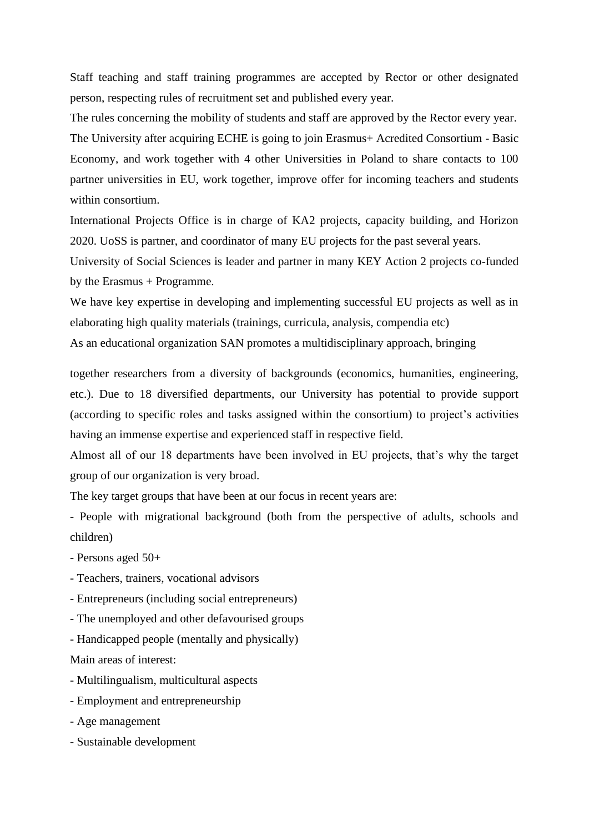Staff teaching and staff training programmes are accepted by Rector or other designated person, respecting rules of recruitment set and published every year.

The rules concerning the mobility of students and staff are approved by the Rector every year. The University after acquiring ECHE is going to join Erasmus+ Acredited Consortium - Basic Economy, and work together with 4 other Universities in Poland to share contacts to 100 partner universities in EU, work together, improve offer for incoming teachers and students within consortium.

International Projects Office is in charge of KA2 projects, capacity building, and Horizon 2020. UoSS is partner, and coordinator of many EU projects for the past several years.

University of Social Sciences is leader and partner in many KEY Action 2 projects co-funded by the Erasmus + Programme.

We have key expertise in developing and implementing successful EU projects as well as in elaborating high quality materials (trainings, curricula, analysis, compendia etc) As an educational organization SAN promotes a multidisciplinary approach, bringing

together researchers from a diversity of backgrounds (economics, humanities, engineering, etc.). Due to 18 diversified departments, our University has potential to provide support (according to specific roles and tasks assigned within the consortium) to project's activities having an immense expertise and experienced staff in respective field.

Almost all of our 18 departments have been involved in EU projects, that's why the target group of our organization is very broad.

The key target groups that have been at our focus in recent years are:

- People with migrational background (both from the perspective of adults, schools and children)

- Persons aged 50+
- Teachers, trainers, vocational advisors
- Entrepreneurs (including social entrepreneurs)
- The unemployed and other defavourised groups
- Handicapped people (mentally and physically)

Main areas of interest:

- Multilingualism, multicultural aspects
- Employment and entrepreneurship
- Age management
- Sustainable development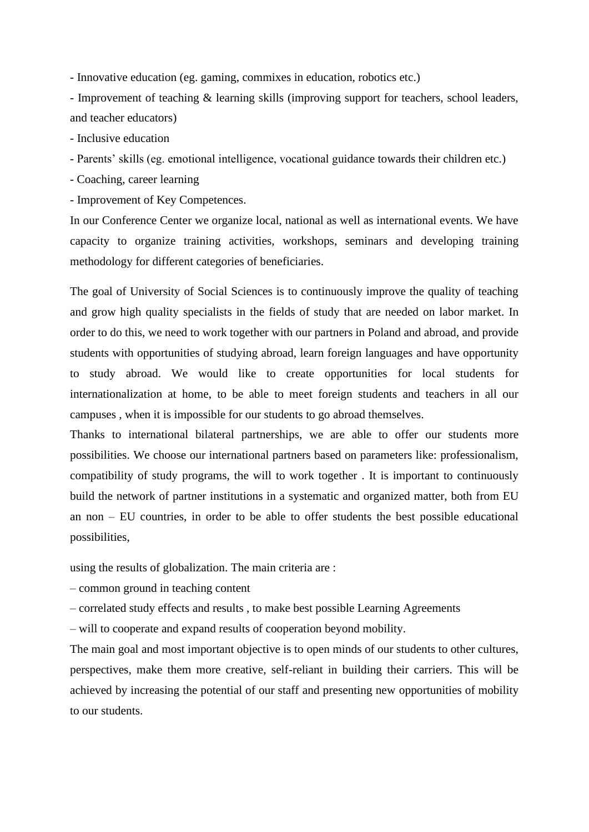- Innovative education (eg. gaming, commixes in education, robotics etc.)

- Improvement of teaching & learning skills (improving support for teachers, school leaders, and teacher educators)

- Inclusive education

- Parents' skills (eg. emotional intelligence, vocational guidance towards their children etc.)

- Coaching, career learning

- Improvement of Key Competences.

In our Conference Center we organize local, national as well as international events. We have capacity to organize training activities, workshops, seminars and developing training methodology for different categories of beneficiaries.

The goal of University of Social Sciences is to continuously improve the quality of teaching and grow high quality specialists in the fields of study that are needed on labor market. In order to do this, we need to work together with our partners in Poland and abroad, and provide students with opportunities of studying abroad, learn foreign languages and have opportunity to study abroad. We would like to create opportunities for local students for internationalization at home, to be able to meet foreign students and teachers in all our campuses , when it is impossible for our students to go abroad themselves.

Thanks to international bilateral partnerships, we are able to offer our students more possibilities. We choose our international partners based on parameters like: professionalism, compatibility of study programs, the will to work together . It is important to continuously build the network of partner institutions in a systematic and organized matter, both from EU an non – EU countries, in order to be able to offer students the best possible educational possibilities,

using the results of globalization. The main criteria are :

– common ground in teaching content

– correlated study effects and results , to make best possible Learning Agreements

– will to cooperate and expand results of cooperation beyond mobility.

The main goal and most important objective is to open minds of our students to other cultures, perspectives, make them more creative, self-reliant in building their carriers. This will be achieved by increasing the potential of our staff and presenting new opportunities of mobility to our students.